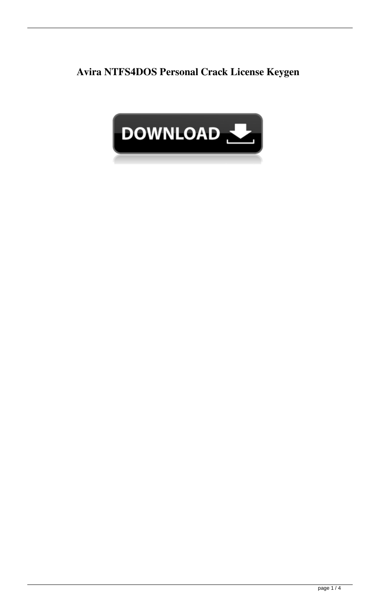**Avira NTFS4DOS Personal Crack License Keygen**

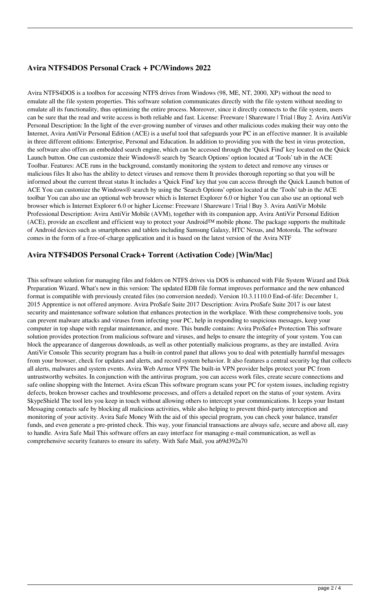### **Avira NTFS4DOS Personal Crack + PC/Windows 2022**

Avira NTFS4DOS is a toolbox for accessing NTFS drives from Windows (98, ME, NT, 2000, XP) without the need to emulate all the file system properties. This software solution communicates directly with the file system without needing to emulate all its functionality, thus optimizing the entire process. Moreover, since it directly connects to the file system, users can be sure that the read and write access is both reliable and fast. License: Freeware | Shareware | Trial | Buy 2. Avira AntiVir Personal Description: In the light of the ever-growing number of viruses and other malicious codes making their way onto the Internet, Avira AntiVir Personal Edition (ACE) is a useful tool that safeguards your PC in an effective manner. It is available in three different editions: Enterprise, Personal and Education. In addition to providing you with the best in virus protection, the software also offers an embedded search engine, which can be accessed through the 'Quick Find' key located on the Quick Launch button. One can customize their Windows® search by 'Search Options' option located at 'Tools' tab in the ACE Toolbar. Features: ACE runs in the background, constantly monitoring the system to detect and remove any viruses or malicious files It also has the ability to detect viruses and remove them It provides thorough reporting so that you will be informed about the current threat status It includes a 'Quick Find' key that you can access through the Quick Launch button of ACE You can customize the Windows® search by using the 'Search Options' option located at the 'Tools' tab in the ACE toolbar You can also use an optional web browser which is Internet Explorer 6.0 or higher You can also use an optional web browser which is Internet Explorer 6.0 or higher License: Freeware | Shareware | Trial | Buy 3. Avira AntiVir Mobile Professional Description: Avira AntiVir Mobile (AVM), together with its companion app, Avira AntiVir Personal Edition (ACE), provide an excellent and efficient way to protect your Android™ mobile phone. The package supports the multitude of Android devices such as smartphones and tablets including Samsung Galaxy, HTC Nexus, and Motorola. The software comes in the form of a free-of-charge application and it is based on the latest version of the Avira NTF

### **Avira NTFS4DOS Personal Crack+ Torrent (Activation Code) [Win/Mac]**

This software solution for managing files and folders on NTFS drives via DOS is enhanced with File System Wizard and Disk Preparation Wizard. What's new in this version: The updated EDB file format improves performance and the new enhanced format is compatible with previously created files (no conversion needed). Version 10.3.1110.0 End-of-life: December 1, 2015 Apprentice is not offered anymore. Avira ProSafe Suite 2017 Description: Avira ProSafe Suite 2017 is our latest security and maintenance software solution that enhances protection in the workplace. With these comprehensive tools, you can prevent malware attacks and viruses from infecting your PC, help in responding to suspicious messages, keep your computer in top shape with regular maintenance, and more. This bundle contains: Avira ProSafe+ Protection This software solution provides protection from malicious software and viruses, and helps to ensure the integrity of your system. You can block the appearance of dangerous downloads, as well as other potentially malicious programs, as they are installed. Avira AntiVir Console This security program has a built-in control panel that allows you to deal with potentially harmful messages from your browser, check for updates and alerts, and record system behavior. It also features a central security log that collects all alerts, malwares and system events. Avira Web Armor VPN The built-in VPN provider helps protect your PC from untrustworthy websites. In conjunction with the antivirus program, you can access work files, create secure connections and safe online shopping with the Internet. Avira eScan This software program scans your PC for system issues, including registry defects, broken browser caches and troublesome processes, and offers a detailed report on the status of your system. Avira SkypeShield The tool lets you keep in touch without allowing others to intercept your communications. It keeps your Instant Messaging contacts safe by blocking all malicious activities, while also helping to prevent third-party interception and monitoring of your activity. Avira Safe Money With the aid of this special program, you can check your balance, transfer funds, and even generate a pre-printed check. This way, your financial transactions are always safe, secure and above all, easy to handle. Avira Safe Mail This software offers an easy interface for managing e-mail communication, as well as comprehensive security features to ensure its safety. With Safe Mail, you a69d392a70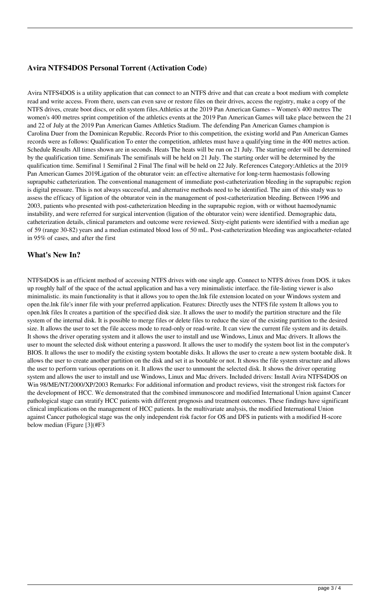# **Avira NTFS4DOS Personal Torrent (Activation Code)**

Avira NTFS4DOS is a utility application that can connect to an NTFS drive and that can create a boot medium with complete read and write access. From there, users can even save or restore files on their drives, access the registry, make a copy of the NTFS drives, create boot discs, or edit system files.Athletics at the 2019 Pan American Games – Women's 400 metres The women's 400 metres sprint competition of the athletics events at the 2019 Pan American Games will take place between the 21 and 22 of July at the 2019 Pan American Games Athletics Stadium. The defending Pan American Games champion is Carolina Duer from the Dominican Republic. Records Prior to this competition, the existing world and Pan American Games records were as follows: Qualification To enter the competition, athletes must have a qualifying time in the 400 metres action. Schedule Results All times shown are in seconds. Heats The heats will be run on 21 July. The starting order will be determined by the qualification time. Semifinals The semifinals will be held on 21 July. The starting order will be determined by the qualification time. Semifinal 1 Semifinal 2 Final The final will be held on 22 July. References Category:Athletics at the 2019 Pan American Games 2019Ligation of the obturator vein: an effective alternative for long-term haemostasis following suprapubic catheterization. The conventional management of immediate post-catheterization bleeding in the suprapubic region is digital pressure. This is not always successful, and alternative methods need to be identified. The aim of this study was to assess the efficacy of ligation of the obturator vein in the management of post-catheterization bleeding. Between 1996 and 2003, patients who presented with post-catheterization bleeding in the suprapubic region, with or without haemodynamic instability, and were referred for surgical intervention (ligation of the obturator vein) were identified. Demographic data, catheterization details, clinical parameters and outcome were reviewed. Sixty-eight patients were identified with a median age of 59 (range 30-82) years and a median estimated blood loss of 50 mL. Post-catheterization bleeding was angiocatheter-related in 95% of cases, and after the first

### **What's New In?**

NTFS4DOS is an efficient method of accessing NTFS drives with one single app. Connect to NTFS drives from DOS. it takes up roughly half of the space of the actual application and has a very minimalistic interface. the file-listing viewer is also minimalistic. its main functionality is that it allows you to open the.lnk file extension located on your Windows system and open the.lnk file's inner file with your preferred application. Features: Directly uses the NTFS file system It allows you to open.lnk files It creates a partition of the specified disk size. It allows the user to modify the partition structure and the file system of the internal disk. It is possible to merge files or delete files to reduce the size of the existing partition to the desired size. It allows the user to set the file access mode to read-only or read-write. It can view the current file system and its details. It shows the driver operating system and it allows the user to install and use Windows, Linux and Mac drivers. It allows the user to mount the selected disk without entering a password. It allows the user to modify the system boot list in the computer's BIOS. It allows the user to modify the existing system bootable disks. It allows the user to create a new system bootable disk. It allows the user to create another partition on the disk and set it as bootable or not. It shows the file system structure and allows the user to perform various operations on it. It allows the user to unmount the selected disk. It shows the driver operating system and allows the user to install and use Windows, Linux and Mac drivers. Included drivers: Install Avira NTFS4DOS on Win 98/ME/NT/2000/XP/2003 Remarks: For additional information and product reviews, visit the strongest risk factors for the development of HCC. We demonstrated that the combined immunoscore and modified International Union against Cancer pathological stage can stratify HCC patients with different prognosis and treatment outcomes. These findings have significant clinical implications on the management of HCC patients. In the multivariate analysis, the modified International Union against Cancer pathological stage was the only independent risk factor for OS and DFS in patients with a modified H-score below median (Figure [3](#F3